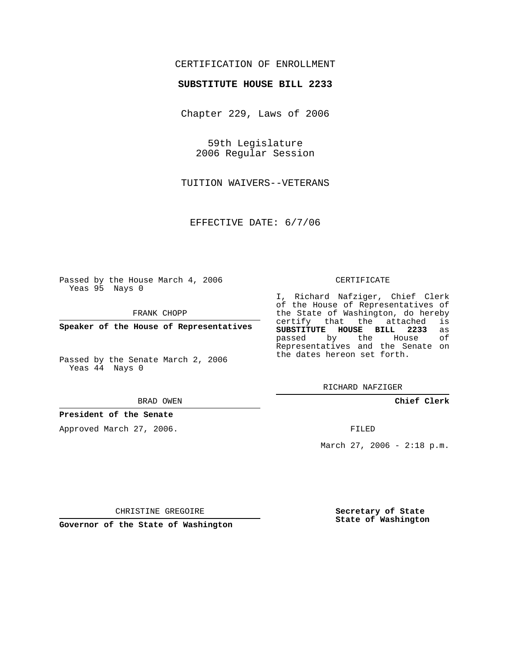# CERTIFICATION OF ENROLLMENT

## **SUBSTITUTE HOUSE BILL 2233**

Chapter 229, Laws of 2006

59th Legislature 2006 Regular Session

TUITION WAIVERS--VETERANS

EFFECTIVE DATE: 6/7/06

Passed by the House March 4, 2006 Yeas 95 Nays 0

FRANK CHOPP

**Speaker of the House of Representatives**

Passed by the Senate March 2, 2006 Yeas 44 Nays 0

#### BRAD OWEN

## **President of the Senate**

Approved March 27, 2006.

#### CERTIFICATE

I, Richard Nafziger, Chief Clerk of the House of Representatives of the State of Washington, do hereby<br>certify that the attached is certify that the attached **SUBSTITUTE HOUSE BILL 2233** as passed by the House Representatives and the Senate on the dates hereon set forth.

RICHARD NAFZIGER

**Chief Clerk**

FILED

March 27, 2006 - 2:18 p.m.

CHRISTINE GREGOIRE

**Governor of the State of Washington**

**Secretary of State State of Washington**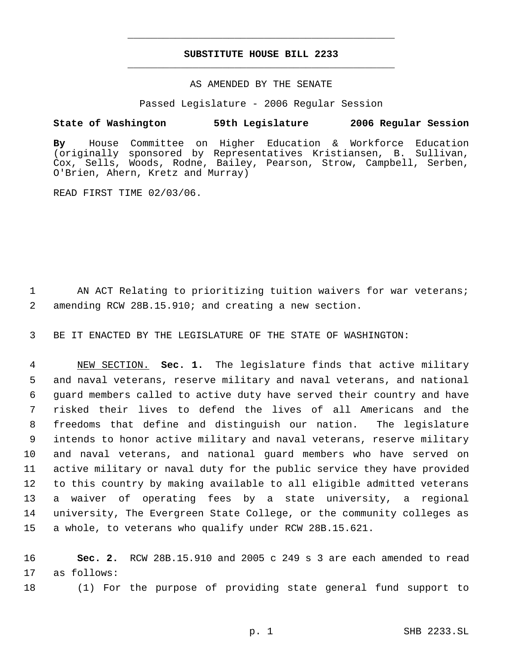# **SUBSTITUTE HOUSE BILL 2233** \_\_\_\_\_\_\_\_\_\_\_\_\_\_\_\_\_\_\_\_\_\_\_\_\_\_\_\_\_\_\_\_\_\_\_\_\_\_\_\_\_\_\_\_\_

\_\_\_\_\_\_\_\_\_\_\_\_\_\_\_\_\_\_\_\_\_\_\_\_\_\_\_\_\_\_\_\_\_\_\_\_\_\_\_\_\_\_\_\_\_

## AS AMENDED BY THE SENATE

Passed Legislature - 2006 Regular Session

## **State of Washington 59th Legislature 2006 Regular Session**

**By** House Committee on Higher Education & Workforce Education (originally sponsored by Representatives Kristiansen, B. Sullivan, Cox, Sells, Woods, Rodne, Bailey, Pearson, Strow, Campbell, Serben, O'Brien, Ahern, Kretz and Murray)

READ FIRST TIME 02/03/06.

1 AN ACT Relating to prioritizing tuition waivers for war veterans; 2 amending RCW 28B.15.910; and creating a new section.

3 BE IT ENACTED BY THE LEGISLATURE OF THE STATE OF WASHINGTON:

 NEW SECTION. **Sec. 1.** The legislature finds that active military and naval veterans, reserve military and naval veterans, and national guard members called to active duty have served their country and have risked their lives to defend the lives of all Americans and the freedoms that define and distinguish our nation. The legislature intends to honor active military and naval veterans, reserve military and naval veterans, and national guard members who have served on active military or naval duty for the public service they have provided to this country by making available to all eligible admitted veterans a waiver of operating fees by a state university, a regional university, The Evergreen State College, or the community colleges as a whole, to veterans who qualify under RCW 28B.15.621.

16 **Sec. 2.** RCW 28B.15.910 and 2005 c 249 s 3 are each amended to read 17 as follows:

18 (1) For the purpose of providing state general fund support to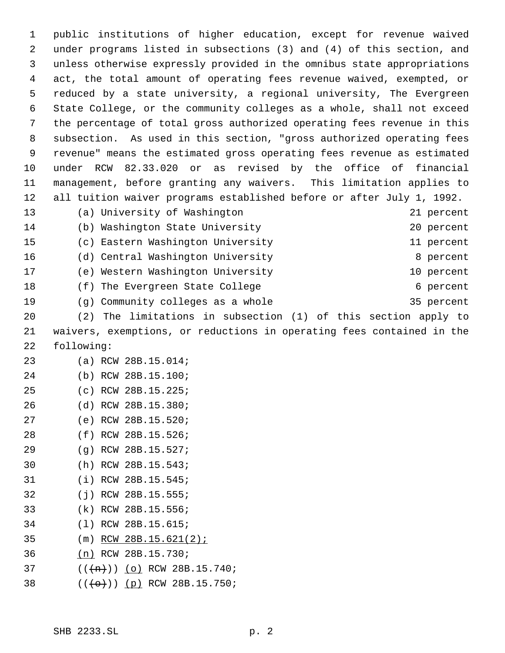public institutions of higher education, except for revenue waived under programs listed in subsections (3) and (4) of this section, and unless otherwise expressly provided in the omnibus state appropriations act, the total amount of operating fees revenue waived, exempted, or reduced by a state university, a regional university, The Evergreen State College, or the community colleges as a whole, shall not exceed the percentage of total gross authorized operating fees revenue in this subsection. As used in this section, "gross authorized operating fees revenue" means the estimated gross operating fees revenue as estimated under RCW 82.33.020 or as revised by the office of financial management, before granting any waivers. This limitation applies to all tuition waiver programs established before or after July 1, 1992. (a) University of Washington 21 percent (b) Washington State University 20 percent (c) Eastern Washington University 11 percent 16 (d) Central Washington University **8** percent (e) Western Washington University 10 percent 18 (f) The Evergreen State College 6 percent (g) Community colleges as a whole 35 percent (2) The limitations in subsection (1) of this section apply to waivers, exemptions, or reductions in operating fees contained in the following: (a) RCW 28B.15.014; (b) RCW 28B.15.100; (c) RCW 28B.15.225; (d) RCW 28B.15.380; (e) RCW 28B.15.520; (f) RCW 28B.15.526; (g) RCW 28B.15.527; (h) RCW 28B.15.543; (i) RCW 28B.15.545; (j) RCW 28B.15.555; (k) RCW 28B.15.556; (l) RCW 28B.15.615; (m) RCW 28B.15.621(2); (n) RCW 28B.15.730;  $((+n))$  (o) RCW 28B.15.740;  $((+e+))$  (p) RCW 28B.15.750;